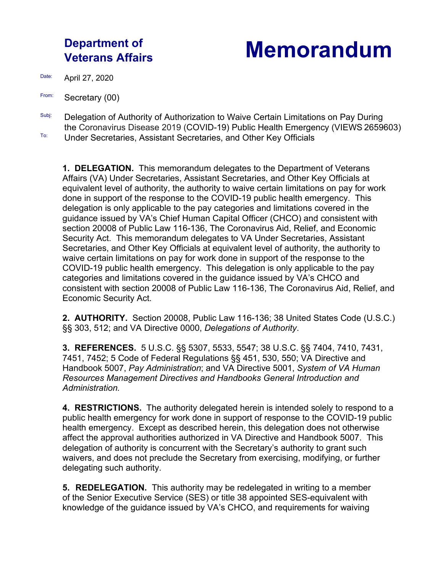## **Department of**

## **Veterans Affairs Memorandum**

Date: April 27, 2020

- From: Secretary (00)
- Subj: Delegation of Authority of Authorization to Waive Certain Limitations on Pay During the Coronavirus Disease 2019 (COVID-19) Public Health Emergency (VIEWS 2659603)**To:** Under Secretaries, Assistant Secretaries, and Other Key Officials

**1. DELEGATION.** This memorandum delegates to the Department of Veterans Affairs (VA) Under Secretaries, Assistant Secretaries, and Other Key Officials at equivalent level of authority, the authority to waive certain limitations on pay for work done in support of the response to the COVID-19 public health emergency. This delegation is only applicable to the pay categories and limitations covered in the guidance issued by VA's Chief Human Capital Officer (CHCO) and consistent with section 20008 of Public Law 116-136, The Coronavirus Aid, Relief, and Economic Security Act. This memorandum delegates to VA Under Secretaries, Assistant Secretaries, and Other Key Officials at equivalent level of authority, the authority to waive certain limitations on pay for work done in support of the response to the COVID-19 public health emergency. This delegation is only applicable to the pay categories and limitations covered in the guidance issued by VA's CHCO and consistent with section 20008 of Public Law 116-136, The Coronavirus Aid, Relief, and Economic Security Act.

**2. AUTHORITY.** Section 20008, Public Law 116-136; 38 United States Code (U.S.C.) §§ 303, 512; and VA Directive 0000, *Delegations of Authority*.

**3. REFERENCES.** 5 U.S.C. §§ 5307, 5533, 5547; 38 U.S.C. §§ 7404, 7410, 7431, 7451, 7452; 5 Code of Federal Regulations §§ 451, 530, 550; VA Directive and Handbook 5007, *Pay Administration*; and VA Directive 5001, *System of VA Human Resources Management Directives and Handbooks General Introduction and Administration.*

**4. RESTRICTIONS.** The authority delegated herein is intended solely to respond to a public health emergency for work done in support of response to the COVID-19 public health emergency. Except as described herein, this delegation does not otherwise affect the approval authorities authorized in VA Directive and Handbook 5007. This delegation of authority is concurrent with the Secretary's authority to grant such waivers, and does not preclude the Secretary from exercising, modifying, or further delegating such authority.

**5. REDELEGATION.** This authority may be redelegated in writing to a member of the Senior Executive Service (SES) or title 38 appointed SES-equivalent with knowledge of the guidance issued by VA's CHCO, and requirements for waiving